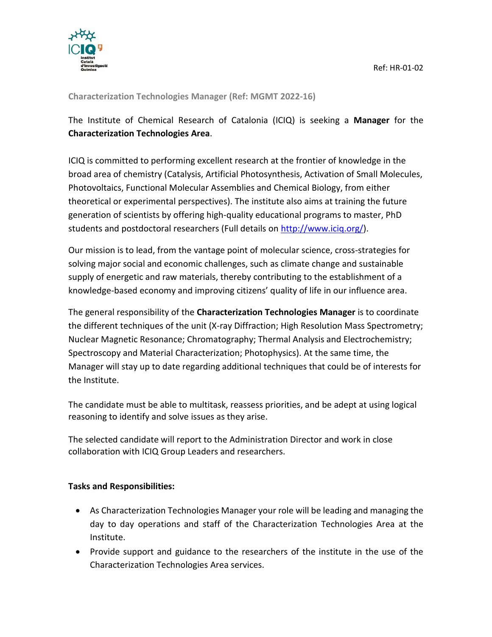

**Characterization Technologies Manager (Ref: MGMT 2022-16)**

The Institute of Chemical Research of Catalonia (ICIQ) is seeking a **Manager** for the **Characterization Technologies Area**.

ICIQ is committed to performing excellent research at the frontier of knowledge in the broad area of chemistry (Catalysis, Artificial Photosynthesis, Activation of Small Molecules, Photovoltaics, Functional Molecular Assemblies and Chemical Biology, from either theoretical or experimental perspectives). The institute also aims at training the future generation of scientists by offering high-quality educational programs to master, PhD students and postdoctoral researchers (Full details on [http://www.iciq.org/\)](http://www.iciq.org/).

Our mission is to lead, from the vantage point of molecular science, cross-strategies for solving major social and economic challenges, such as climate change and sustainable supply of energetic and raw materials, thereby contributing to the establishment of a knowledge-based economy and improving citizens' quality of life in our influence area.

The general responsibility of the **Characterization Technologies Manager** is to coordinate the different techniques of the unit (X-ray Diffraction; High Resolution Mass Spectrometry; Nuclear Magnetic Resonance; Chromatography; Thermal Analysis and Electrochemistry; Spectroscopy and Material Characterization; Photophysics). At the same time, the Manager will stay up to date regarding additional techniques that could be of interests for the Institute.

The candidate must be able to multitask, reassess priorities, and be adept at using logical reasoning to identify and solve issues as they arise.

The selected candidate will report to the Administration Director and work in close collaboration with ICIQ Group Leaders and researchers.

### **Tasks and Responsibilities:**

- As Characterization Technologies Manager your role will be leading and managing the day to day operations and staff of the Characterization Technologies Area at the Institute.
- Provide support and guidance to the researchers of the institute in the use of the Characterization Technologies Area services.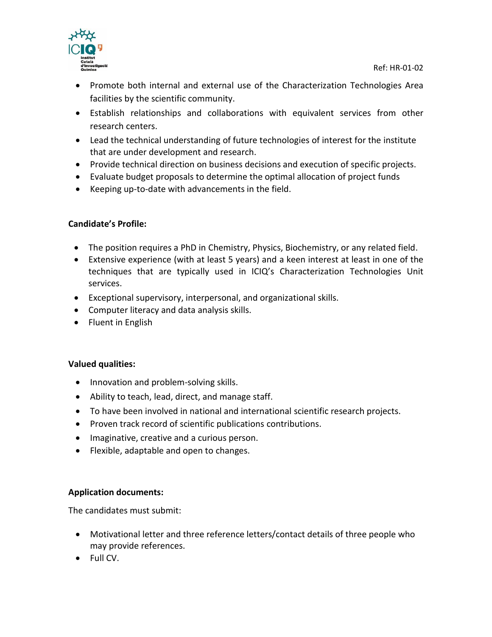

- Promote both internal and external use of the Characterization Technologies Area facilities by the scientific community.
- Establish relationships and collaborations with equivalent services from other research centers.
- Lead the technical understanding of future technologies of interest for the institute that are under development and research.
- Provide technical direction on business decisions and execution of specific projects.
- Evaluate budget proposals to determine the optimal allocation of project funds
- Keeping up-to-date with advancements in the field.

## **Candidate's Profile:**

- The position requires a PhD in Chemistry, Physics, Biochemistry, or any related field.
- Extensive experience (with at least 5 years) and a keen interest at least in one of the techniques that are typically used in ICIQ's Characterization Technologies Unit services.
- Exceptional supervisory, interpersonal, and organizational skills.
- Computer literacy and data analysis skills.
- Fluent in English

### **Valued qualities:**

- Innovation and problem-solving skills.
- Ability to teach, lead, direct, and manage staff.
- To have been involved in national and international scientific research projects.
- Proven track record of scientific publications contributions.
- Imaginative, creative and a curious person.
- Flexible, adaptable and open to changes.

### **Application documents:**

The candidates must submit:

- Motivational letter and three reference letters/contact details of three people who may provide references.
- Full CV.